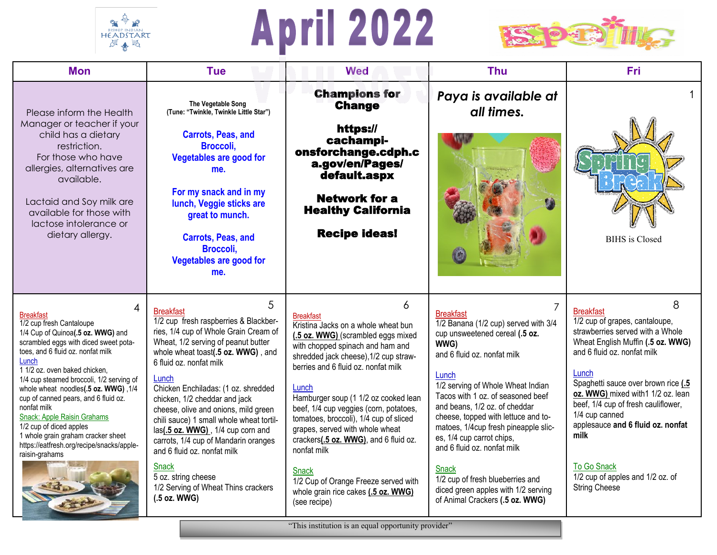

## **April 2022**



| <b>Mon</b>                                                                                                                                                                                                                                                                                                                                                                                                                                                                                                               | <b>Tue</b>                                                                                                                                                                                                                                                                                                                                                                                                                                                                                                                                                                                     | <b>Wed</b>                                                                                                                                                                                                                                                                                                                                                                                                                                                                                                                                                                                                            | <b>Thu</b>                                                                                                                                                                                                                                                                                                                                                                                                                                                                                                                     | <b>Fri</b>                                                                                                                                                                                                                                                                                                                                                                                                                                   |
|--------------------------------------------------------------------------------------------------------------------------------------------------------------------------------------------------------------------------------------------------------------------------------------------------------------------------------------------------------------------------------------------------------------------------------------------------------------------------------------------------------------------------|------------------------------------------------------------------------------------------------------------------------------------------------------------------------------------------------------------------------------------------------------------------------------------------------------------------------------------------------------------------------------------------------------------------------------------------------------------------------------------------------------------------------------------------------------------------------------------------------|-----------------------------------------------------------------------------------------------------------------------------------------------------------------------------------------------------------------------------------------------------------------------------------------------------------------------------------------------------------------------------------------------------------------------------------------------------------------------------------------------------------------------------------------------------------------------------------------------------------------------|--------------------------------------------------------------------------------------------------------------------------------------------------------------------------------------------------------------------------------------------------------------------------------------------------------------------------------------------------------------------------------------------------------------------------------------------------------------------------------------------------------------------------------|----------------------------------------------------------------------------------------------------------------------------------------------------------------------------------------------------------------------------------------------------------------------------------------------------------------------------------------------------------------------------------------------------------------------------------------------|
| Please inform the Health<br>Manager or teacher if your<br>child has a dietary<br>restriction.<br>For those who have<br>allergies, alternatives are<br>available.<br>Lactaid and Soy milk are<br>available for those with<br>lactose intolerance or<br>dietary allergy.                                                                                                                                                                                                                                                   | The Vegetable Song<br>(Tune: "Twinkle, Twinkle Little Star")<br><b>Carrots, Peas, and</b><br>Broccoli,<br><b>Vegetables are good for</b><br>me.<br>For my snack and in my<br>lunch, Veggie sticks are<br>great to munch.<br><b>Carrots, Peas, and</b><br>Broccoli,<br><b>Vegetables are good for</b><br>me.                                                                                                                                                                                                                                                                                    | <b>Champions for</b><br><b>Change</b><br>https://<br>cachampi-<br>onsforchange.cdph.c<br>a.gov/en/Pages/<br>default.aspx<br><b>Network for a</b><br><b>Healthy California</b><br><b>Recipe ideas!</b>                                                                                                                                                                                                                                                                                                                                                                                                                 | Paya is available at<br>all times.                                                                                                                                                                                                                                                                                                                                                                                                                                                                                             | <b>BIHS</b> is Closed                                                                                                                                                                                                                                                                                                                                                                                                                        |
| Δ<br><b>Breakfast</b><br>1/2 cup fresh Cantaloupe<br>1/4 Cup of Quinoa(.5 oz. WWG) and<br>scrambled eggs with diced sweet pota-<br>toes, and 6 fluid oz. nonfat milk<br>Lunch<br>1 1/2 oz. oven baked chicken,<br>1/4 cup steamed broccoli, 1/2 serving of<br>whole wheat noodles(.5 oz. WWG), 1/4<br>cup of canned pears, and 6 fluid oz.<br>nonfat milk<br>Snack: Apple Raisin Grahams<br>1/2 cup of diced apples<br>1 whole grain graham cracker sheet<br>https://eatfresh.org/recipe/snacks/apple-<br>raisin-grahams | 5<br><b>Breakfast</b><br>1/2 cup fresh raspberries & Blackber-<br>ries, 1/4 cup of Whole Grain Cream of<br>Wheat, 1/2 serving of peanut butter<br>whole wheat toast(.5 oz. WWG), and<br>6 fluid oz. nonfat milk<br>Lunch<br>Chicken Enchiladas: (1 oz. shredded<br>chicken, 1/2 cheddar and jack<br>cheese, olive and onions, mild green<br>chili sauce) 1 small whole wheat tortil-<br>las(.5 oz. WWG), 1/4 cup corn and<br>carrots, 1/4 cup of Mandarin oranges<br>and 6 fluid oz. nonfat milk<br><b>Snack</b><br>5 oz. string cheese<br>1/2 Serving of Wheat Thins crackers<br>(.5 oz. WWG) | 6<br><b>Breakfast</b><br>Kristina Jacks on a whole wheat bun<br>(.5 oz. WWG) (scrambled eggs mixed<br>with chopped spinach and ham and<br>shredded jack cheese), 1/2 cup straw-<br>berries and 6 fluid oz, nonfat milk<br>Lunch<br>Hamburger soup (1 1/2 oz cooked lean<br>beef, 1/4 cup veggies (corn, potatoes,<br>tomatoes, broccoli), 1/4 cup of sliced<br>grapes, served with whole wheat<br>crackers(.5 oz. WWG), and 6 fluid oz.<br>nonfat milk<br>Snack<br>1/2 Cup of Orange Freeze served with<br>whole grain rice cakes (.5 oz. WWG)<br>(see recipe)<br>"This institution is an equal opportunity provider" | <b>Breakfast</b><br>1/2 Banana (1/2 cup) served with 3/4<br>cup unsweetened cereal (.5 oz.<br>WWG)<br>and 6 fluid oz. nonfat milk<br>Lunch<br>1/2 serving of Whole Wheat Indian<br>Tacos with 1 oz. of seasoned beef<br>and beans, 1/2 oz. of cheddar<br>cheese, topped with lettuce and to-<br>matoes, 1/4cup fresh pineapple slic-<br>es, 1/4 cup carrot chips,<br>and 6 fluid oz. nonfat milk<br><b>Snack</b><br>1/2 cup of fresh blueberries and<br>diced green apples with 1/2 serving<br>of Animal Crackers (.5 oz. WWG) | 8<br><b>Breakfast</b><br>1/2 cup of grapes, cantaloupe,<br>strawberries served with a Whole<br>Wheat English Muffin (.5 oz. WWG)<br>and 6 fluid oz. nonfat milk<br>Lunch<br>Spaghetti sauce over brown rice (.5<br>oz. WWG) mixed with1 1/2 oz. lean<br>beef, 1/4 cup of fresh cauliflower,<br>1/4 cup canned<br>applesauce and 6 fluid oz. nonfat<br>milk<br><b>To Go Snack</b><br>1/2 cup of apples and 1/2 oz. of<br><b>String Cheese</b> |